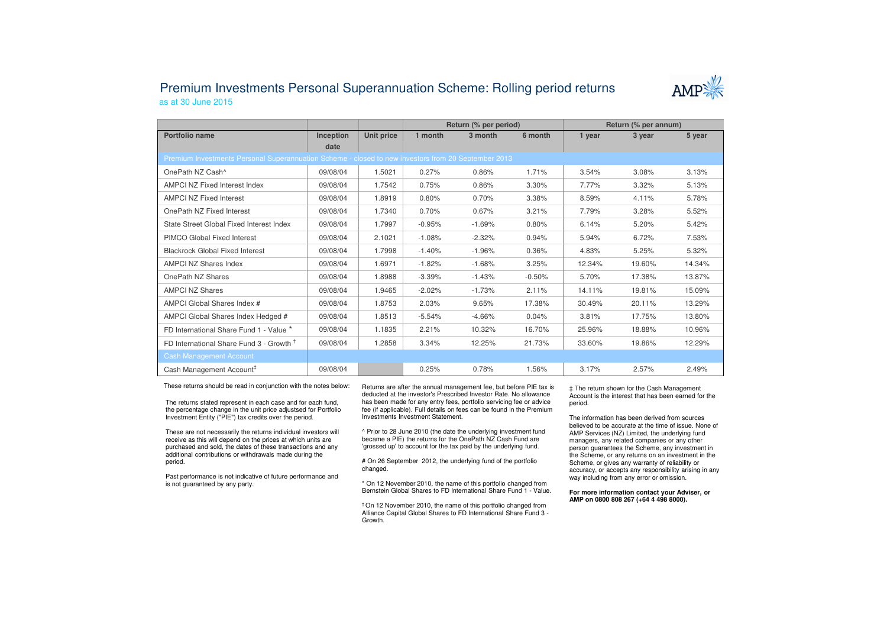## Premium Investments Personal Superannuation Scheme: Rolling period returnsas at 30 June 2015



|                                                                                                     |           |            | Return (% per period) |          |          | Return (% per annum) |        |        |  |  |
|-----------------------------------------------------------------------------------------------------|-----------|------------|-----------------------|----------|----------|----------------------|--------|--------|--|--|
| Portfolio name                                                                                      | Inception | Unit price | 1 month               | 3 month  | 6 month  | 1 year               | 3 year | 5 year |  |  |
|                                                                                                     | date      |            |                       |          |          |                      |        |        |  |  |
| Premium Investments Personal Superannuation Scheme - closed to new investors from 20 September 2013 |           |            |                       |          |          |                      |        |        |  |  |
| OnePath NZ Cash^                                                                                    | 09/08/04  | 1.5021     | 0.27%                 | 0.86%    | 1.71%    | 3.54%                | 3.08%  | 3.13%  |  |  |
| AMPCI NZ Fixed Interest Index                                                                       | 09/08/04  | 1.7542     | 0.75%                 | 0.86%    | 3.30%    | 7.77%                | 3.32%  | 5.13%  |  |  |
| <b>AMPCI NZ Fixed Interest</b>                                                                      | 09/08/04  | 1.8919     | 0.80%                 | 0.70%    | 3.38%    | 8.59%                | 4.11%  | 5.78%  |  |  |
| OnePath NZ Fixed Interest                                                                           | 09/08/04  | 1.7340     | 0.70%                 | 0.67%    | 3.21%    | 7.79%                | 3.28%  | 5.52%  |  |  |
| State Street Global Fixed Interest Index                                                            | 09/08/04  | 1.7997     | $-0.95%$              | $-1.69%$ | 0.80%    | 6.14%                | 5.20%  | 5.42%  |  |  |
| PIMCO Global Fixed Interest                                                                         | 09/08/04  | 2.1021     | $-1.08%$              | $-2.32%$ | 0.94%    | 5.94%                | 6.72%  | 7.53%  |  |  |
| <b>Blackrock Global Fixed Interest</b>                                                              | 09/08/04  | 1.7998     | $-1.40%$              | $-1.96%$ | 0.36%    | 4.83%                | 5.25%  | 5.32%  |  |  |
| <b>AMPCI NZ Shares Index</b>                                                                        | 09/08/04  | 1.6971     | $-1.82%$              | $-1.68%$ | 3.25%    | 12.34%               | 19.60% | 14.34% |  |  |
| OnePath NZ Shares                                                                                   | 09/08/04  | 1.8988     | $-3.39%$              | $-1.43%$ | $-0.50%$ | 5.70%                | 17.38% | 13.87% |  |  |
| <b>AMPCI NZ Shares</b>                                                                              | 09/08/04  | 1.9465     | $-2.02%$              | $-1.73%$ | 2.11%    | 14.11%               | 19.81% | 15.09% |  |  |
| AMPCI Global Shares Index #                                                                         | 09/08/04  | 1.8753     | 2.03%                 | 9.65%    | 17.38%   | 30.49%               | 20.11% | 13.29% |  |  |
| AMPCI Global Shares Index Hedged #                                                                  | 09/08/04  | 1.8513     | $-5.54%$              | $-4.66%$ | 0.04%    | 3.81%                | 17.75% | 13.80% |  |  |
| FD International Share Fund 1 - Value *                                                             | 09/08/04  | 1.1835     | 2.21%                 | 10.32%   | 16.70%   | 25.96%               | 18.88% | 10.96% |  |  |
| FD International Share Fund 3 - Growth 1                                                            | 09/08/04  | 1.2858     | 3.34%                 | 12.25%   | 21.73%   | 33.60%               | 19.86% | 12.29% |  |  |
| <b>Cash Management Account</b>                                                                      |           |            |                       |          |          |                      |        |        |  |  |
| Cash Management Account <sup>#</sup>                                                                | 09/08/04  |            | 0.25%                 | 0.78%    | 1.56%    | 3.17%                | 2.57%  | 2.49%  |  |  |

These returns should be read in conjunction with the notes below:

The returns stated represent in each case and for each fund, the percentage change in the unit price adjustsed for Portfolio Investment Entity ("PIE") tax credits over the period.

These are not necessarily the returns individual investors will receive as this will depend on the prices at which units are purchased and sold, the dates of these transactions and any additional contributions or withdrawals made during the period.

Past performance is not indicative of future performance and is not guaranteed by any party.

Returns are after the annual management fee, but before PIE tax is deducted at the investor's Prescribed Investor Rate. No allowance has been made for any entry fees, portfolio servicing fee or advice fee (if applicable). Full details on fees can be found in the Premium Investments Investment Statement.

^ Prior to 28 June 2010 (the date the underlying investment fund became a PIE) the returns for the OnePath NZ Cash Fund are 'grossed up' to account for the tax paid by the underlying fund.

# On 26 September 2012, the underlying fund of the portfolio changed.

\* On 12 November 2010, the name of this portfolio changed from Bernstein Global Shares to FD International Share Fund 1 - Value.

† On 12 November 2010, the name of this portfolio changed from Alliance Capital Global Shares to FD International Share Fund 3 -Growth.

‡ The return shown for the Cash Management Account is the interest that has been earned for the period.

The information has been derived from sources believed to be accurate at the time of issue. None of AMP Services (NZ) Limited, the underlying fund managers, any related companies or any other person guarantees the Scheme, any investment in the Scheme, or any returns on an investment in the Scheme, or gives any warranty of reliability or accuracy, or accepts any responsibility arising in any way including from any error or omission.

**For more information contact your Adviser, or AMP on 0800 808 267 (+64 4 498 8000).**